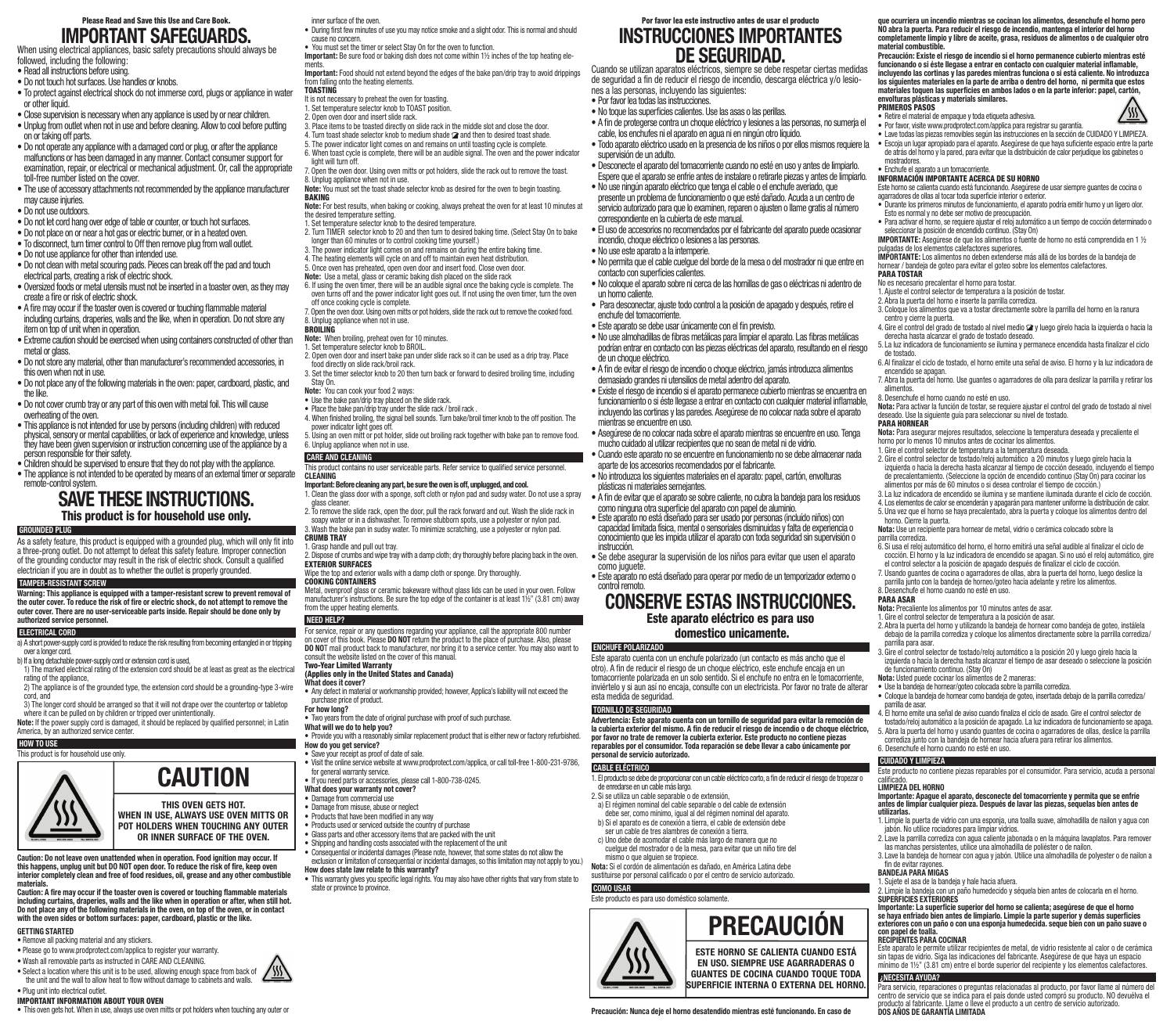- inner surface of the oven.
- During first few minutes of use you may notice smoke and a slight odor. This is normal and should cause no concern.
- You must set the timer or select stay On for the oven to function. **Important:** Be sure food or baking dish does not come within 1½ inches of the top heating ele-

ments. **Important:** Food should not extend beyond the edges of the bake pan/drip tray to avoid drippings from falling onto the heating elements.

## TOASTING

- It is not necessary to preheat the oven for toasting.
- 1. Set temperature selector knob to TOAST position. 2. Open oven door and insert slide rack.
- 3. Place items to be toasted directly on slide rack in the middle slot and close the door.
- 4. Turn toast shade selector knob to medium shade  $\blacksquare$  and then to desired toast shade.
- 5. The power indicator light comes on and remains on until toasting cycle is complete.
- 6. When toast cycle is complete, there will be an audible signal. The oven and the power indicator light will turn off.
- 7. Open the oven door. Using oven mitts or pot holders, slide the rack out to remove the toast. 8. Unplug appliance when not in use.
- **Note:** You must set the toast shade selector knob as desired for the oven to begin toasting. BAKING
- **Note:** For best results, when baking or cooking, always preheat the oven for at least 10 minutes at the desired temperature setting.
- 1. Set temperature selector knob to the desired temperature.
- 2. Turn TIMER selector knob to 20 and then turn to desired baking time. (Select Stay On to bake longer than 60 minutes or to control cooking time yourself.)
- 3. The power indicator light comes on and remains on during the entire baking time. 4. The heating elements will cycle on and off to maintain even heat distribution.
- 5. Once oven has preheated, open oven door and insert food. Close oven door.
- **Note:** Use a metal, glass or ceramic baking dish placed on the slide rack
- 6. If using the oven timer, there will be an audible signal once the baking cycle is complete. The oven turns off and the power indicator light goes out. If not using the oven timer, turn the oven off once cooking cycle is complete.
- 7. Open the oven door. Using oven mitts or pot holders, slide the rack out to remove the cooked food. 8. Unplug appliance when not in use.
- BROILING **Note:** When broiling, preheat oven for 10 minutes.
- 1. Set temperature selector knob to BROIL.
- 2. Open oven door and insert bake pan under slide rack so it can be used as a drip tray. Place
- food directly on slide rack/broil rack. 3. Set the timer selector knob to 20 then turn back or forward to desired broiling time, including stay On.
- **Note:** You can cook your food 2 ways:
- Use the bake pan/drip tray placed on the slide rack.
- Place the bake pan/drip tray under the slide rack / broil rack .
- 4. When finished broiling, the signal bell sounds. Turn bake/broil timer knob to the off position. The power indicator light goes off.
- 5. Using an oven mitt or pot holder, slide out broiling rack together with bake pan to remove food. 6. Unplug appliance when not in use.

Metal, ovenproof glass or ceramic bakeware without glass lids can be used in your oven. Follow manufacturer's instructions. Be sure the top edge of the container is at least 1½" (3.81 cm) away from the upper heating elements.

- Any defect in material or workmanship provided; however, Applica's liability will not exceed the purchase price of product.
- **For how long?**
- • Two years from the date of original purchase with proof of such purchase. **What will we do to help you?**
- • Provide you with a reasonably similar replacement product that is either new or factory refurbished. **How do you get service?**
- • Save your receipt as proof of date of sale.

• Damage from commercial use • Damage from misuse, abuse or neglect • Products that have been modified in any way

• Consequential or incidental damages (Please note, however, that some states do not allow the exclusion or limitation of consequential or incidental damages, so this limitation may not apply to you.)

• This warranty gives you specific legal rights. You may also have other rights that vary from state to

- **CARE AND CLEANING** This product contains no user serviceable parts. Refer service to qualified service personnel.
- **CLEANING**
- **Important: Before cleaning any part, be sure the oven is off, unplugged, and cool.**
- 1. Clean the glass door with a sponge, soft cloth or nylon pad and sudsy water. Do not use a spray glass cleaner
- 2. To remove the slide rack, open the door, pull the rack forward and out. Wash the slide rack in soapy water or in a dishwasher. To remove stubborn spots, use a polyester or nylon pad. 3. Wash the bake pan in sudsy water. To minimize scratching, use a polyester or nylon pad.
- CRUMB TRAY 1. Grasp handle and pull out tray.
- 2. Dispose of crumbs and wipe tray with a damp cloth; dry thoroughly before placing back in the oven. EXTERIOR SURFACES
- Wipe the top and exterior walls with a damp cloth or sponge. Dry thoroughly.

### COOKING CONTAINERS

**NEED HELP?**

For service, repair or any questions regarding your appliance, call the appropriate 800 number on cover of this book. Please **DO NOT** return the product to the place of purchase. Also, please **DO NO**T mail product back to manufacturer, nor bring it to a service center. You may also want to consult the website listed on the cover of this manual.

Two-Year Limited Warranty (Applies only in the United States and Canada)

## **What does it cover?**

where it can be pulled on by children or tripped over unintentionally. **Note:** If the power supply cord is damaged, it should be replaced by qualified personnel; in Latin America, by an authorized service center.

> • Visit the online service website at www.prodprotect.com/applica, or call toll-free 1-800-231-9786, for general warranty service.

• If you need parts or accessories, please call 1-800-738-0245. **What does your warranty not cover?**

• Products used or serviced outside the country of purchase • Glass parts and other accessory items that are packed with the unit • Shipping and handling costs associated with the replacement of the unit

IMPORTANT INFORMATION ABOUT YOUR OVEN • This oven gets hot. When in use, always use oven mitts or pot holders when touching any outer or **How does state law relate to this warranty?**

state or province to province.

## Please Read and Save this Use and Care Book. **IMPORTANT SAFEGUARDS.**

When using electrical appliances, basic safety precautions should always be followed, including the following:

- Read all instructions before using.
- Do not touch hot surfaces. Use handles or knobs.
- To protect against electrical shock do not immerse cord, plugs or appliance in water or other liquid.
- Close supervision is necessary when any appliance is used by or near children.
- Unplug from outlet when not in use and before cleaning. Allow to cool before putting on or taking off parts.
- Do not operate any appliance with a damaged cord or plug, or after the appliance malfunctions or has been damaged in any manner. Contact consumer support for examination, repair, or electrical or mechanical adjustment. Or, call the appropriate toll-free number listed on the cover.
- The use of accessory attachments not recommended by the appliance manufacturer may cause injuries.
- Do not use outdoors.
- Do not let cord hang over edge of table or counter, or touch hot surfaces.
- Do not place on or near a hot gas or electric burner, or in a heated oven.
- To disconnect, turn timer control to Off then remove plug from wall outlet.
- Do not use appliance for other than intended use.
- Do not clean with metal scouring pads. Pieces can break off the pad and touch electrical parts, creating a risk of electric shock.
- Oversized foods or metal utensils must not be inserted in a toaster oven, as they may create a fire or risk of electric shock.
- A fire may occur if the toaster oven is covered or touching flammable material including curtains, draperies, walls and the like, when in operation. Do not store any item on top of unit when in operation.
- Extreme caution should be exercised when using containers constructed of other than metal or glass.
- Do not store any material, other than manufacturer's recommended accessories, in this oven when not in use.
- • Do not place any of the following materials in the oven: paper, cardboard, plastic, and the like.
- Do not cover crumb tray or any part of this oven with metal foil. This will cause overheating of the oven.
- This appliance is not intended for use by persons (including children) with reduced physical, sensory or mental capabilities, or lack of experience and knowledge, unless they have been given supervision or instruction concerning use of the appliance by a person responsible for their safety.
- • Children should be supervised to ensure that they do not play with the appliance. • The appliance is not intended to be operated by means of an external timer or separate

# remote-control system. **SAVE THESE INSTRUCTIONS.** This product is for household use only.

## **GROUNDED PLUG**

As a safety feature, this product is equipped with a grounded plug, which will only fit into a three-prong outlet. Do not attempt to defeat this safety feature. Improper connection of the grounding conductor may result in the risk of electric shock. Consult a qualified electrician if you are in doubt as to whether the outlet is properly grounded.

### **TAMPER-RESISTANT SCREW**

**Warning: This appliance is equipped with a tamper-resistant screw to prevent removal of the outer cover. To reduce the risk of fire or electric shock, do not attempt to remove the outer cover. There are no user-serviceable parts inside. Repair should be done only by authorized service personnel.**

### **ELECTRICAL CORD**

a) A short power-supply cord is provided to reduce the risk resulting from becoming entangled in or tripping over a longer cord.

- b) If a long detachable power-supply cord or extension cord is used,
- 1) The marked electrical rating of the extension cord should be at least as great as the electrical rating of the appliance, 2) The appliance is of the grounded type, the extension cord should be a grounding-type 3-wire
- cord, and 3) The longer cord should be arranged so that it will not drape over the countertop or tabletop

# **HOW TO USE**

This product is for household use only.



**Caution: Do not leave oven unattended when in operation. Food ignition may occur. If this happens, unplug unit but DO NOT open door. To reduce the risk of fire, keep oven interior completely clean and free of food residues, oil, grease and any other combustible materials.**

**Caution: A fire may occur if the toaster oven is covered or touching flammable materials including curtains, draperies, walls and the like when in operation or after, when still hot. Do not place any of the following materials in the oven, on top of the oven, or in contact with the oven sides or bottom surfaces: paper, cardboard, plastic or the like.**

# **GETTING STARTED**

- Remove all packing material and any stickers.
- Please go to www.prodprotect.com/applica to register your warranty. • Wash all removable parts as instructed in CARE AND CLEANING.
- 
- Select a location where this unit is to be used, allowing enough space from back of the unit and the wall to allow heat to flow without damage to cabinets and walls. • Plug unit into electrical outlet.

- **Importante: Apague el aparato, desconecte del tomacorriente y permita que se enfríe antes de limpiar cualquier pieza. Después de lavar las piezas, sequelas bien antes de utilizarlas.**
- 1. Limpie la puerta de vidrio con una esponja, una toalla suave, almohadilla de nailon y agua con jabón. No utilice rociadores para limpiar vidrios.
- 2. Lave la parrilla corrediza con agua caliente jabonada o en la máquina lavaplatos. Para remover las manchas persistentes, utilice una almohadilla de poliéster o de nailon.
- 3. Lave la bandeja de hornear con agua y jabón. Utilice una almohadilla de polyester o de nailon a fin de evitar rayo

Por favor lea este instructivo antes de usar el producto **INSTRUCCIONES IMPORTANTES DE SEGURIDAD.** Cuando se utilizan aparatos eléctricos, siempre se debe respetar ciertas medidas de seguridad a fin de reducir el riesgo de incendio, descarga eléctrica y/o lesio-

nes a las personas, incluyendo las siguientes:

• Por favor lea todas las instrucciones.

• No toque las superficies calientes. Use las asas o las perillas.

• A fin de protegerse contra un choque eléctrico y lesiones a las personas, no sumerja el

cable, los enchufes ni el aparato en agua ni en ningún otro líquido.

• Todo aparato eléctrico usado en la presencia de los niños o por ellos mismos requiere la

supervisión de un adulto.

• Desconecte el aparato del tomacorriente cuando no esté en uso y antes de limpiarlo. Espere que el aparato se enfrie antes de instalare o retirarle piezas y antes de limpiarlo.

• No use ningún aparato eléctrico que tenga el cable o el enchufe averiado, que presente un problema de funcionamiento o que esté dañado. Acuda a un centro de servicio autorizado para que lo examinen, reparen o ajusten o llame gratis al número

correspondiente en la cubierta de este manual.

• No use este aparato a la intemperie.

• El uso de accesorios no recomendados por el fabricante del aparato puede ocasionar

incendio, choque eléctrico o lesiones a las personas.

• No permita que el cable cuelgue del borde de la mesa o del mostrador ni que entre en

contacto con superficies calientes.

• No coloque el aparato sobre ni cerca de las hornillas de gas o eléctricas ni adentro de

un horno caliente.

• Para desconectar, ajuste todo control a la posición de apagado y después, retire el

enchufe del tomacorriente.

• Este aparato se debe usar únicamente con el fin previsto.

• No use almohadillas de fibras metálicas para limpiar el aparato. Las fibras metálicas podrían entrar en contacto con las piezas eléctricas del aparato, resultando en el riesgo

de un choque eléctrico.

• A fin de evitar el riesgo de incendio o choque eléctrico, jamás introduzca alimentos

demasiado grandes ni utensilios de metal adentro del aparato.

• Existe el riesgo de incendio si el aparato permanece cubierto mientras se encuentra en funcionamiento o si éste llegase a entrar en contacto con cualquier material inflamable, incluyendo las cortinas y las paredes. Asegúrese de no colocar nada sobre el aparato

mientras se encuentre en uso.

• Asegúrese de no colocar nada sobre el aparato mientras se encuentre en uso. Tenga

mucho cuidado al utilizar recipientes que no sean de metal ni de vidrio.

• Cuando este aparato no se encuentre en funcionamiento no se debe almacenar nada

• A fin de evitar que el aparato se sobre caliente, no cubra la bandeja para los residuos

aparte de los accesorios recomendados por el fabricante.

• No introduzca los siguientes materiales en el aparato: papel, cartón, envolturas

plásticas ni materiales semejantes.

como ninguna otra superficie del aparato con papel de aluminio.

• Este aparato no está diseñado para ser usado por personas (incluído niños) con capacidad limitada física, mental o sensoriales disminuidas y falta de experiencia o conocimiento que les impida utilizar el aparato con toda seguridad sin supervisión o

• Se debe asegurar la supervisión de los niños para evitar que usen el aparato

instrucción.

como juguete.

• Este aparato no está diseñado para operar por medio de un temporizador externo o

control remoto.

**CONSERVE ESTAS INSTRUCCIONES.** Este aparato eléctrico es para uso domestico unicamente.

**ENCHUFE POLARIZADO** 

Este aparato cuenta con un enchufe polarizado (un contacto es más ancho que el otro). A fin de reducir el riesgo de un choque eléctrico, este enchufe encaja en un tomacorriente polarizada en un solo sentido. Si el enchufe no entra en le tomacorriente, inviértelo y si aun así no encaja, consulte con un electricista. Por favor no trate de alterar

esta medida de seguridad. **TORNILLO DE SEGURIDAD**

**Advertencia: Este aparato cuenta con un tornillo de seguridad para evitar la remoción de la cubierta exterior del mismo. A fin de reducir el riesgo de incendio o de choque eléctrico, por favor no trate de remover la cubierta exterior. Este producto no contiene piezas reparables por el consumidor. Toda reparación se debe llevar a cabo únicamente por** 

**personal de servicio autorizado.**

**CABLE ELÉCTRICO**

1. El producto se debe de proporcionar con un cable eléctrico corto, a fin de reducir el riesgo de tropezar o

de enredarse en un cable más largo. 2. Si se utiliza un cable separable o de extensión,

a) El régimen nominal del cable separable o del cable de extensión debe ser, como mínimo, igual al del régimen nominal del aparato. b) Si el aparato es de conexión a tierra, el cable de extensión debe ser un cable de tres alambres de conexión a tierra. c) Uno debe de acomodar el cable más largo de manera que no cuelgue del mostrador o de la mesa, para evitar que un niño tire del

mismo o que alguien se tropiece.

**Nota:** Si el cordón de alimentación es dañado, en América Latina debe sustituirse por personal calificado o por el centro de servicio autorizado.

**COMO USAR**

Este producto es para uso doméstico solamente.

**Precaución: Nunca deje el horno desatendido mientras esté funcionando. En caso de** 

**que ocurriera un incendio mientras se cocinan los alimentos, desenchufe el horno pero NO abra la puerta. Para reducir el riesgo de incendio, mantenga el interior del horno completamente limpio y libre de aceite, grasa, residuos de alimentos o de cualquier otro material combustible.** 

**Precaución: Existe el riesgo de incendio si el horno permanence cubierto mientras esté funcionando o si éste llegase a entrar en contacto con cualquier material inflamable, incluyendo las cortinas y las paredes mientras funciona o si está caliente. No introduzca los siguientes materiales en la parte de arriba o dentro del horno, ni permita que estos materiales toquen las superficies en ambos lados o en la parte inferior: papel, cartón, envolturas plásticas y materials similares.**  PRIMEROS PASOS

- • Retire el material de empaque y toda etiqueta adhesiva.
- Por favor, visite www.prodprotect.com/applica para registrar su garantía.
- • Lave todas las piezas removibles según las instrucciones en la sección de CUIDADO Y LIMPIEZA. • Escoja un lugar apropiado para el aparato. Asegúrese de que haya suficiente espacio entre la parte de atrás del horno y la pared, para evitar que la distribuición de calor perjudique los gabinetes o mostradores.

#### • Enchufe el aparato a un tomacorriente. INFORMACIÓN IMPORTANTE ACERCA DE SU HORNO

- Este horno se calienta cuando está funcionando. Asegúrese de usar siempre guantes de cocina o agarradores de ollas al tocar toda superficie interior o exterior.
- • Durante los primeros minutos de funcionamiento, el aparato podría emitir humo y un ligero olor. Esto es normal y no debe ser motivo de preocupación.
- • Para activar el horno, se requiere ajustar el reloj automático a un tiempo de cocción determinado o seleccionar la posición de encendido continuo. (Stay On)
- **IMPORTANTE:** Asegúrese de que los alimentos o fuente de horno no está comprendida en 1 ½ pulgadas de los elementos calefactores superiores.
- **IMPORTANTE:** Los alimentos no deben extenderse más allá de los bordes de la bandeja de hornear / bandeja de goteo para evitar el goteo sobre los elementos calefactores. PARA TOSTAR

- No es necesario precalentar el horno para tostar. 1. Ajuste el control selector de temperatura a la posición de tostar.
- 2. Abra la puerta del horno e inserte la parrilla corrediza.
- 3. Coloque los alimentos que va a tostar directamente sobre la parrilla del horno en la ranura centro y cierre la puerta.
- 4. Gire el control del grado de tostado al nivel medio  $\bullet$  y luego gírelo hacia la izquierda o hacia la derecha hasta alcanzar el grado de tostado deseado.
- 5. La luz indicadora de funcionamiento se ilumina y permanece encendida hasta finalizar el ciclo de tostado.
- 6. Al finalizar el ciclo de tostado, el horno emite una señal de aviso. El horno y la luz indicadora de encendido se apagan.
- 7. Abra la puerta del horno. Use guantes o agarradores de olla para deslizar la parrilla y retirar los alimentos.
- 8. Desenchufe el horno cuando no esté en uso.

**Nota:** Para activar la función de tostar, se requiere ajustar el control del grado de tostado al nivel deseado. Use la siguiente guía para seleccionar su nivel de tostado.

#### PARA HORNEAR

**Nota:** Para asegurar mejores resultados, seleccione la temperatura deseada y precaliente el horno por lo menos 10 minutos antes de cocinar los alimentos.

- 1. Gire el control selector de temperatura a la temperatura deseada. 2. Gire el control selector de tostado/reloj automático a 20 minutos y luego gírelo hacia la izquierda o hacia la derecha hasta alcanzar al tiempo de cocción deseado, incluyendo el tiempo de precalentamiento. (Seleccione la opción de encendido continuo (Stay On) para cocinar los
- alimentos por más de 60 minutos o si desea controlar el tiempo de cocción.) 3. La luz indicadora de encendido se ilumina y se mantiene iluminada durante el ciclo de cocción.
- 4. Los elementos de calor se encenderán y apagarán para mantener uniforme la distribución de calor.
- 5. Una vez que el horno se haya precalentado, abra la puerta y coloque los alimentos dentro del horno. Cierre la puerta.
- **Nota:** Use un recipiente para hornear de metal, vidrio o cerámica colocado sobre la parrilla corrediza.
- 6. Si usa el reloj automático del horno, el horno emitirá una señal audible al finalizar el ciclo de cocción. El horno y la luz indicadora de encendido se apagan. Si no usó el reloj automático, gire el control selector a la posición de apagado después de finalizar el ciclo de cocción.
- 7. Usando guantes de cocina o agarradores de ollas, abra la puerta del horno, luego deslice la parrilla junto con la bandeja de horneo/goteo hacia adelante y retire los alimentos.
- 8. Desenchufe el horno cuando no esté en uso.

#### PARA ASAR

**Nota:** Precaliente los alimentos por 10 minutos antes de asar.

- 1. Gire el control selector de temperatura a la posición de asar.
- 2. Abra la puerta del horno y utilizando la bandeja de hornear como bandeia de goteo, instálela debajo de la parrilla corrediza y coloque los alimentos directamente sobre la parrilla corrediza/ parrilla para asar.
- 3. Gire el control selector de tostado/reloj automático a la posición 20 y luego gírelo hacia la izquierda o hacia la derecha hasta alcanzar el tiempo de asar deseado o seleccione la posición de funcionamiento continuo. (Stay On)
- **Nota:** Usted puede cocinar los alimentos de 2 maneras:
- • Use la bandeja de hornear/goteo colocada sobre la parrilla corrediza.
- • Coloque la bandeja de hornear como bandeja de goteo, insertada debajo de la parrilla corrediza/ parrilla de asar.
- 4. El horno emite una señal de aviso cuando finaliza el ciclo de asado. Gire el control selector de tostado/reloj automático a la posición de apagado. La luz indicadora de funcionamiento se apaga.
- 5. Abra la puerta del horno y usando guantes de cocina o agarradores de ollas, deslice la parrilla corrediza junto con la bandeja de hornear hacia afuera para retirar los alimentos.
- 6. Desenchufe el horno cuando no esté en uso.

#### **CUIDADO Y LIMPIEZA**

Este producto no contiene piezas reparables por el consumidor. Para servicio, acuda a personal calificado.

#### **LIMPIEZA DEL HORNO**

#### **BANDEJA PARA MIGAS**

- 1. Sujete el asa de la bandeja y hale hacia afuera.
- 2. Limpie la bandeja con un paño humedecido y séquela bien antes de colocarla en el horno. **SUPERFICIES EXTERIORES**

#### **Importante: La superficie superior del horno se calienta; asegúrese de que el horno se haya enfriado bien antes de limpiarlo. Limpie la parte superior y demás superficies exteriores con un paño o con una esponja humedecida. seque bien con un paño suave o con papel de toalla.**

#### **RECIPIENTES PARA COCINAR**

Este aparato le permite utilizar recipientes de metal, de vidrio resistente al calor o de cerámica sin tapas de vidrio. Siga las indicaciones del fabricante. Asegúrese de que haya un espacio mínimo de 1½" (3.81 cm) entre el borde superior del recipiente y los elementos calefactores.



Para servicio, reparaciones o preguntas relacionadas al producto, por favor llame al número del centro de servicio que se indica para el país donde usted compró su producto. NO devuélva el producto al fabricante. Llame o lleve el producto a un centro de servicio autorizado. **DOS AÑOS DE GARANTÍA LIMITADA**





# CAUTION THIS OVEN GETS HOT.

WHEN IN USE, ALWAYS USE OVEN MITTS OR POT HOLDERS WHEN TOUCHING ANY OUTER OR INNER SURFACE OF THE OVEN.

PRECAUCIÓN

ESTE HORNO SE CALIENTA CUANDO ESTÁ EN USO. SIEMPRE USE AGARRADERAS O GUANTES DE COCINA CUANDO TOQUE TODA SUPERFICIE INTERNA O EXTERNA DEL HORNO.